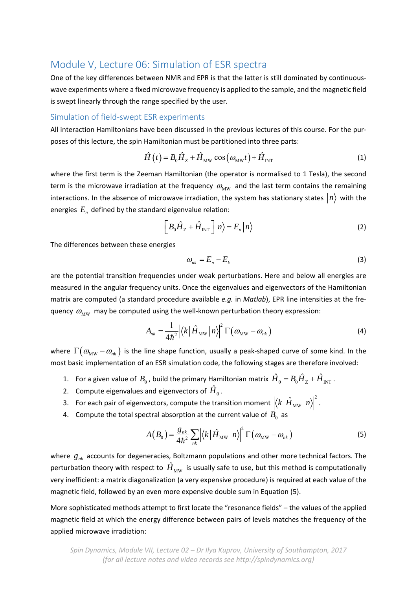## Module V, Lecture 06: Simulation of ESR spectra

One of the key differences between NMR and EPR is that the latter is still dominated by continuouswave experiments where a fixed microwave frequency is applied to the sample, and the magnetic field is swept linearly through the range specified by the user.

## Simulation of field‐swept ESR experiments

All interaction Hamiltonians have been discussed in the previous lectures of this course. For the pur‐ poses of this lecture, the spin Hamiltonian must be partitioned into three parts:

$$
\hat{H}(t) = B_0 \hat{H}_Z + \hat{H}_{\text{MW}} \cos(\omega_{\text{MW}}t) + \hat{H}_{\text{INT}}
$$
\n(1)

where the first term is the Zeeman Hamiltonian (the operator is normalised to 1 Tesla), the second term is the microwave irradiation at the frequency  $\omega_{\text{MW}}$  and the last term contains the remaining interactions. In the absence of microwave irradiation, the system has stationary states  $\ket{n}$  with the energies  $E_n$  defined by the standard eigenvalue relation:

$$
\left[B_0\hat{H}_Z + \hat{H}_{\text{INT}}\right]|n\rangle = E_n|n\rangle\tag{2}
$$

The differences between these energies

$$
\omega_{nk} = E_n - E_k \tag{3}
$$

are the potential transition frequencies under weak perturbations. Here and below all energies are measured in the angular frequency units. Once the eigenvalues and eigenvectors of the Hamiltonian matrix are computed (a standard procedure available *e.g.* in *Matlab*), EPR line intensities at the fre‐ quency  $\omega_{\text{MW}}$  may be computed using the well-known perturbation theory expression:

$$
A_{nk} = \frac{1}{4\hbar^2} \left| \langle k | \hat{H}_{\text{MW}} | n \rangle \right|^2 \Gamma \left( \omega_{\text{MW}} - \omega_{nk} \right) \tag{4}
$$

where  $\Gamma(\omega_{\text{MW}}-\omega_{nk})$  is the line shape function, usually a peak-shaped curve of some kind. In the most basic implementation of an ESR simulation code, the following stages are therefore involved:

- 1. For a given value of  $B_0$  , build the primary Hamiltonian matrix  $\hat{H}_0 = B_0 \hat{H}_Z + \hat{H}_{\text{INT}}$  .
- 2. Compute eigenvalues and eigenvectors of  $\hat{H}_0$ .
- 3. For each pair of eigenvectors, compute the transition moment  $\left|\langle k\,|\hat{H}_{{\rm MW}}\,|n\rangle\right|^2$  $k|\hat{H}_{\text{MW}}|n\rangle|^2$ .
- 4. Compute the total spectral absorption at the current value of  $B_0$  as

$$
A(B_0) = \frac{g_{nk}}{4\hbar^2} \sum_{nk} \left| \left\langle k \left| \hat{H}_{\text{MW}} \left| n \right\rangle \right|^2 \Gamma \left( \omega_{\text{MW}} - \omega_{nk} \right) \right. \right| \tag{5}
$$

where  $g_{nk}$  accounts for degeneracies, Boltzmann populations and other more technical factors. The perturbation theory with respect to  $H_{\text{MW}}$  is usually safe to use, but this method is computationally very inefficient: a matrix diagonalization (a very expensive procedure) is required at each value of the magnetic field, followed by an even more expensive double sum in Equation (5).

More sophisticated methods attempt to first locate the "resonance fields" – the values of the applied magnetic field at which the energy difference between pairs of levels matches the frequency of the applied microwave irradiation: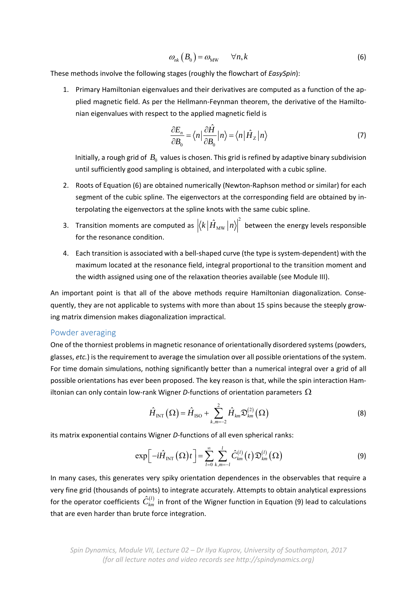$$
\omega_{nk}(B_0) = \omega_{\text{MW}} \qquad \forall n, k \tag{6}
$$

These methods involve the following stages (roughly the flowchart of *EasySpin*):

1. Primary Hamiltonian eigenvalues and their derivatives are computed as a function of the ap‐ plied magnetic field. As per the Hellmann‐Feynman theorem, the derivative of the Hamilto‐ nian eigenvalues with respect to the applied magnetic field is

$$
\frac{\partial E_n}{\partial B_0} = \langle n \, | \frac{\partial \hat{H}}{\partial B_0} | n \rangle = \langle n \, | \, \hat{H}_Z | n \rangle \tag{7}
$$

Initially, a rough grid of  $B_0$  values is chosen. This grid is refined by adaptive binary subdivision until sufficiently good sampling is obtained, and interpolated with a cubic spline.

- 2. Roots of Equation (6) are obtained numerically (Newton‐Raphson method or similar) for each segment of the cubic spline. The eigenvectors at the corresponding field are obtained by interpolating the eigenvectors at the spline knots with the same cubic spline.
- 3. Transition moments are computed as  $\left|\langle k|\hat{H}_{\text{\tiny MW}}\left|n\right\rangle\right|^2$  $\left|k\right|\hat{H}_{\text{MW}}\left|n\right\rangle\!\right|^2$  between the energy levels responsible for the resonance condition.
- 4. Each transition is associated with a bell‐shaped curve (the type is system‐dependent) with the maximum located at the resonance field, integral proportional to the transition moment and the width assigned using one of the relaxation theories available (see Module III).

An important point is that all of the above methods require Hamiltonian diagonalization. Consequently, they are not applicable to systems with more than about 15 spins because the steeply grow‐ ing matrix dimension makes diagonalization impractical.

## Powder averaging

One of the thorniest problems in magnetic resonance of orientationally disordered systems (powders, glasses, *etc.*) is the requirement to average the simulation over all possible orientations of the system. For time domain simulations, nothing significantly better than a numerical integral over a grid of all possible orientations has ever been proposed. The key reason is that, while the spin interaction Ham‐ iltonian can only contain low-rank Wigner D-functions of orientation parameters  $\Omega$ 

$$
\hat{H}_{\text{INT}}\left(\Omega\right) = \hat{H}_{\text{ISO}} + \sum_{k,m=-2}^{2} \hat{H}_{km} \mathfrak{D}_{km}^{(2)}\left(\Omega\right)
$$
\n(8)

its matrix exponential contains Wigner *D*-functions of all even spherical ranks:

$$
\exp\left[-i\hat{H}_{\text{INT}}\left(\Omega\right)t\right]=\sum_{l=0}^{\infty}\sum_{k,m=-l}^{l}\hat{C}_{km}^{\left(l\right)}\left(t\right)\mathfrak{D}_{km}^{\left(l\right)}\left(\Omega\right)
$$
\n(9)

In many cases, this generates very spiky orientation dependences in the observables that require a very fine grid (thousands of points) to integrate accurately. Attempts to obtain analytical expressions for the operator coefficients  $\hat{C}_{km}^{(l)}$  in front of the Wigner function in Equation (9) lead to calculations that are even harder than brute force integration.